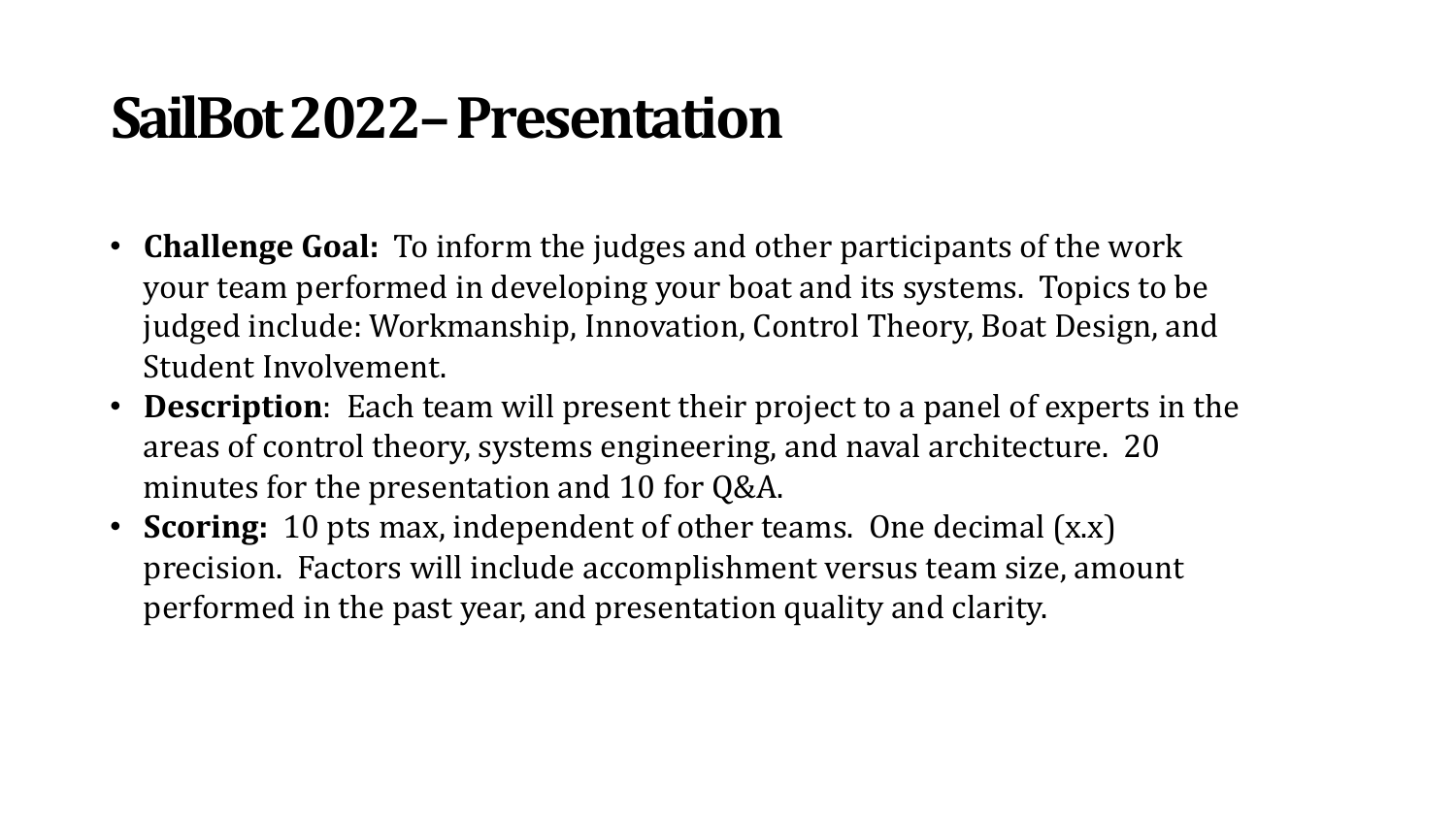### **SailBot 2022–Presentation**

- **Challenge Goal:** To inform the judges and other participants of the work your team performed in developing your boat and its systems. Topics to be judged include: Workmanship, Innovation, Control Theory, Boat Design, and Student Involvement.
- **Description**: Each team will present their project to a panel of experts in the areas of control theory, systems engineering, and naval architecture. 20 minutes for the presentation and 10 for  $Q&A$ .
- **Scoring:** 10 pts max, independent of other teams. One decimal (x.x) precision. Factors will include accomplishment versus team size, amount performed in the past year, and presentation quality and clarity.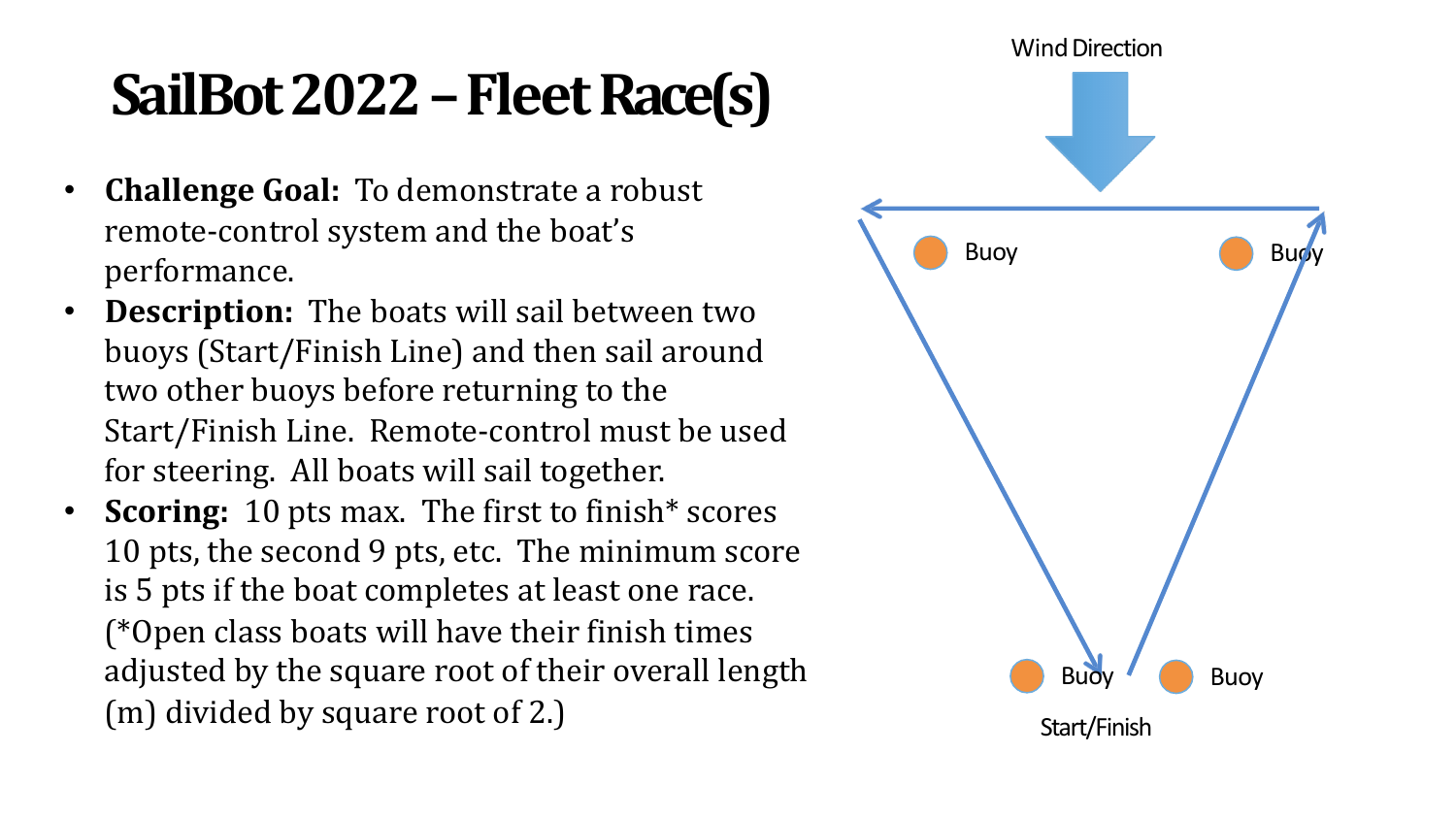# SailBot 2022 – Fleet Race(s)

- **Challenge Goal:** To demonstrate a robust remote-control system and the boat's performance.
- Description: The boats will sail between two buoys (Start/Finish Line) and then sail around two other buoys before returning to the Start/Finish Line. Remote-control must be used for steering. All boats will sail together.
- **Scoring:** 10 pts max. The first to finish<sup>\*</sup> scores 10 pts, the second 9 pts, etc. The minimum score is 5 pts if the boat completes at least one race. (\*Open class boats will have their finish times adjusted by the square root of their overall length  $(m)$  divided by square root of 2.)

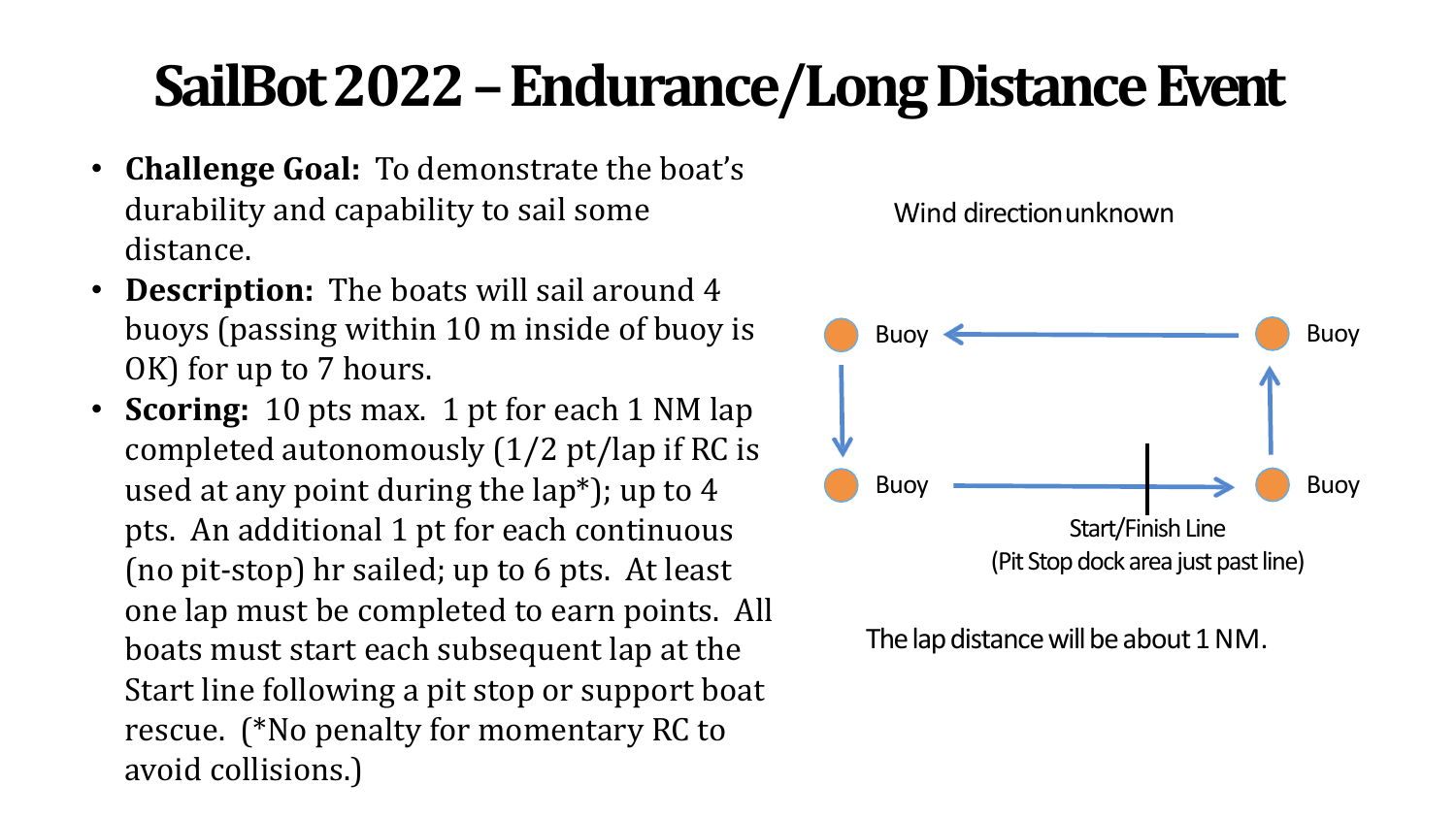## SailBot 2022 – Endurance/Long Distance Event

- **Challenge Goal:** To demonstrate the boat's durability and capability to sail some distance.
- **Description:** The boats will sail around 4 buoys (passing within 10 m inside of buoy is OK) for up to 7 hours.
- **Scoring:** 10 pts max. 1 pt for each 1 NM lap completed autonomously  $(1/2 \text{ pt}/\text{lap if RC is})$ used at any point during the  $\text{lap*}$ ); up to 4 pts. An additional 1 pt for each continuous (no pit-stop) hr sailed; up to 6 pts. At least one lap must be completed to earn points. All boats must start each subsequent lap at the Start line following a pit stop or support boat rescue. (\*No penalty for momentary RC to avoid collisions.)





The lap distance will be about 1 NM.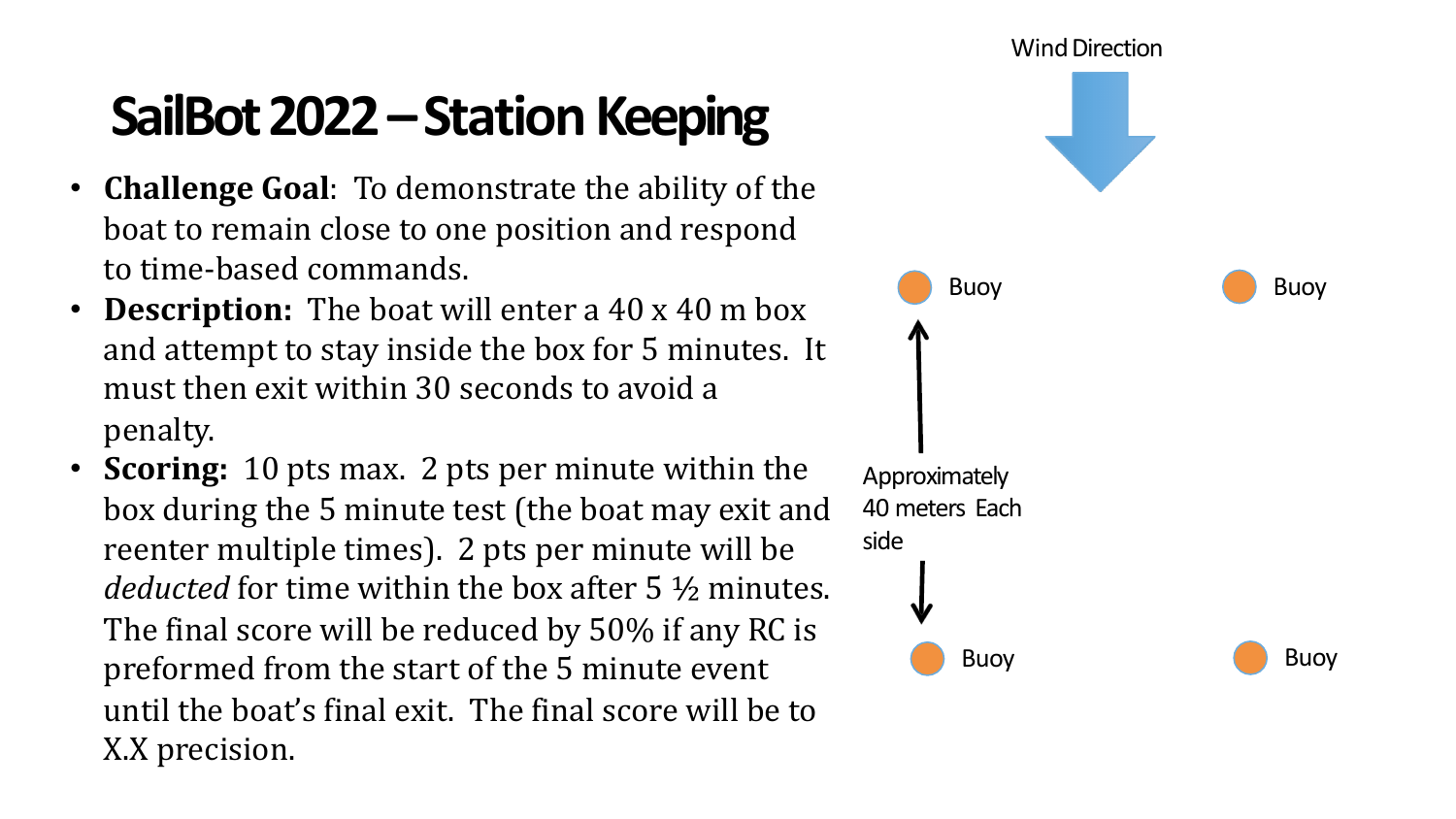## **SailBot 2022 – Station Keeping**

- **Challenge Goal**: To demonstrate the ability of the boat to remain close to one position and respond to time-based commands.
- **Description:** The boat will enter a 40 x 40 m box and attempt to stay inside the box for 5 minutes. It must then exit within 30 seconds to avoid a penalty.
- **Scoring:** 10 pts max. 2 pts per minute within the box during the 5 minute test (the boat may exit and reenter multiple times). 2 pts per minute will be *deducted* for time within the box after 5 \% minutes. The final score will be reduced by 50% if any RC is preformed from the start of the 5 minute event until the boat's final exit. The final score will be to X.X precision.

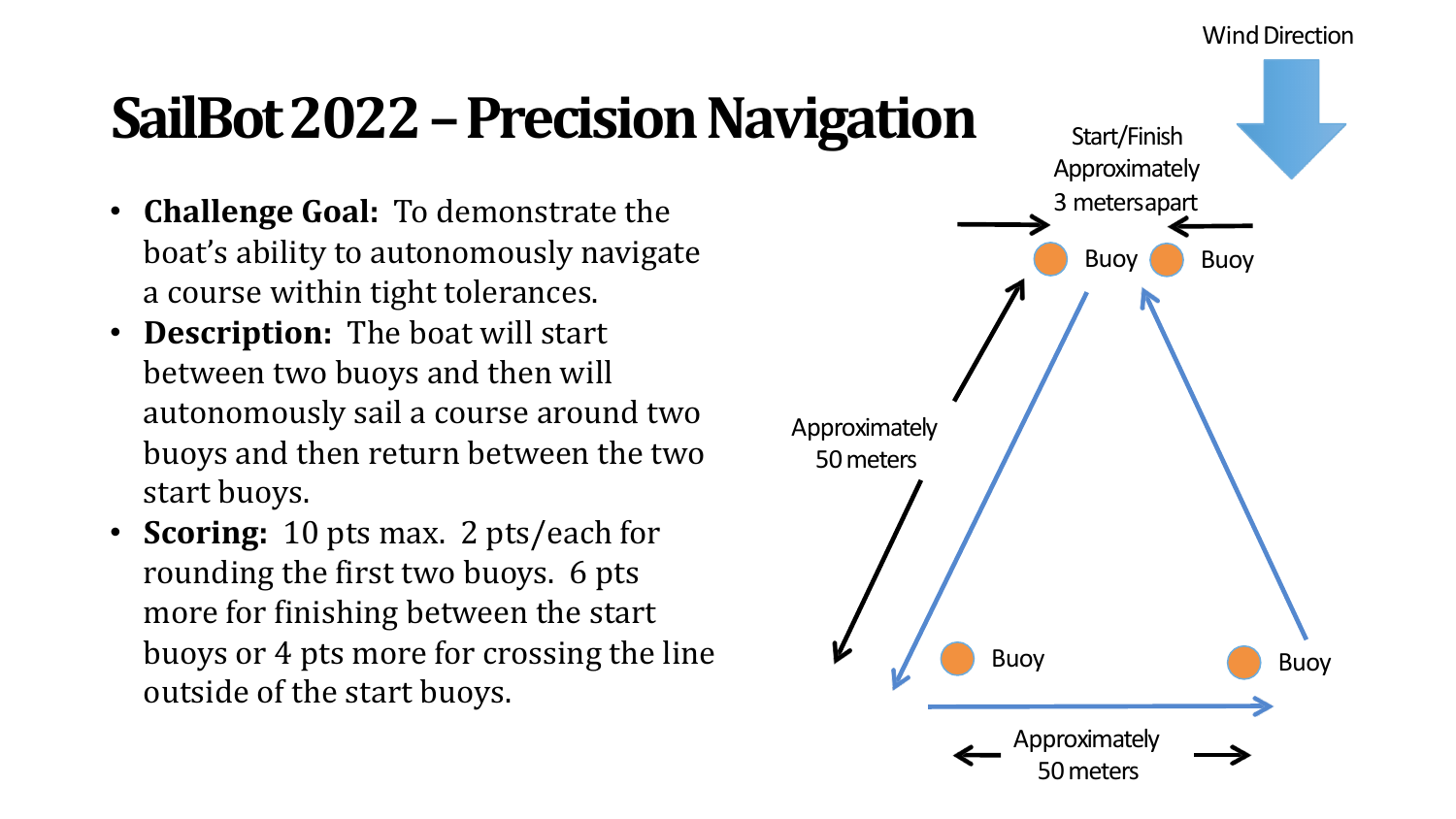#### **Wind Direction**

## **SailBot 2022 – Precision Navigation**

- **Challenge Goal:** To demonstrate the boat's ability to autonomously navigate a course within tight tolerances.
- **Description:** The boat will start between two buoys and then will autonomously sail a course around two buoys and then return between the two start buoys.
- **Scoring:** 10 pts max. 2 pts/each for rounding the first two buoys. 6 pts more for finishing between the start buoys or 4 pts more for crossing the line outside of the start buoys.

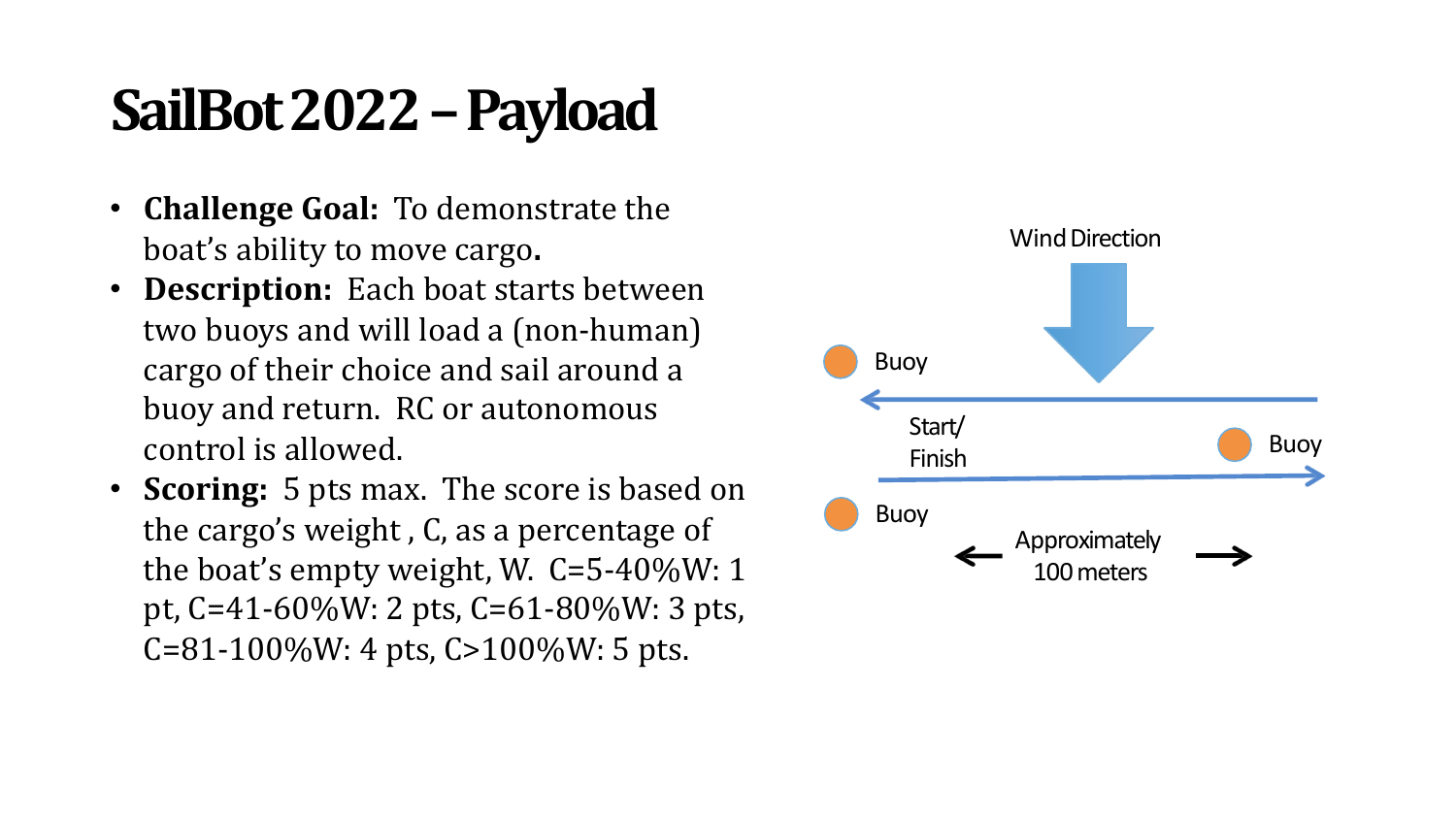## SailBot 2022 - Payload

- **Challenge Goal:** To demonstrate the boat's ability to move cargo.
- **Description:** Each boat starts between two buoys and will load a (non-human) cargo of their choice and sail around a buoy and return. RC or autonomous control is allowed.
- **Scoring:** 5 pts max. The score is based on the cargo's weight, C, as a percentage of the boat's empty weight, W.  $C = 5 - 40\%$ W: 1 pt,  $C = 41 - 60\%$ W: 2 pts,  $C = 61 - 80\%$ W: 3 pts,  $C = 81 - 100\%$ W: 4 pts,  $C > 100\%$ W: 5 pts.

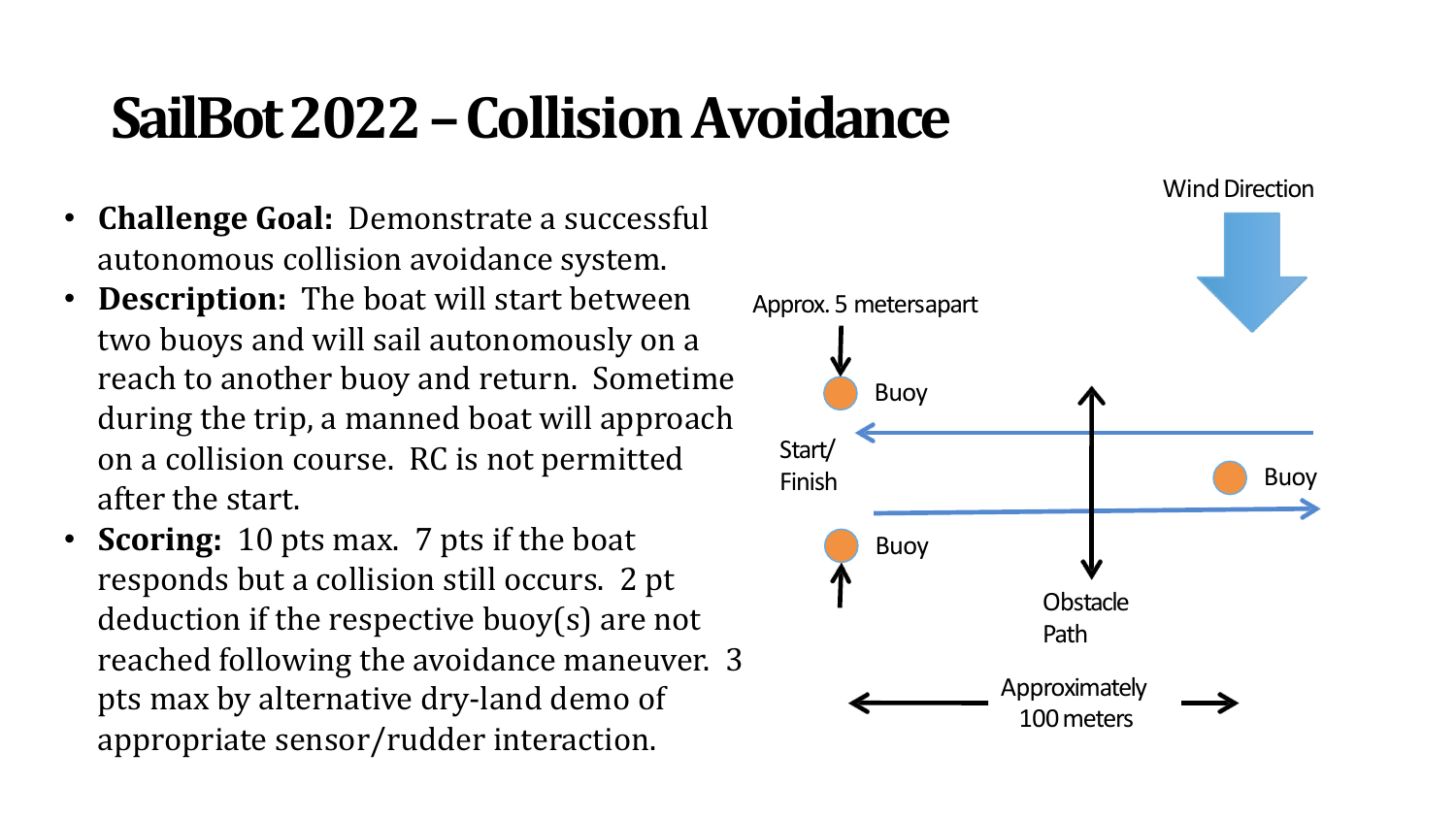### **SailBot 2022–CollisionAvoidance**

- **Challenge Goal:** Demonstrate a successful autonomous collision avoidance system.
- **Description:** The boat will start between two buoys and will sail autonomously on a reach to another buoy and return. Sometime during the trip, a manned boat will approach on a collision course. RC is not permitted after the start.
- **Scoring:** 10 pts max. 7 pts if the boat responds but a collision still occurs. 2 pt deduction if the respective buoy(s) are not reached following the avoidance maneuver. 3 pts max by alternative dry-land demo of appropriate sensor/rudder interaction.